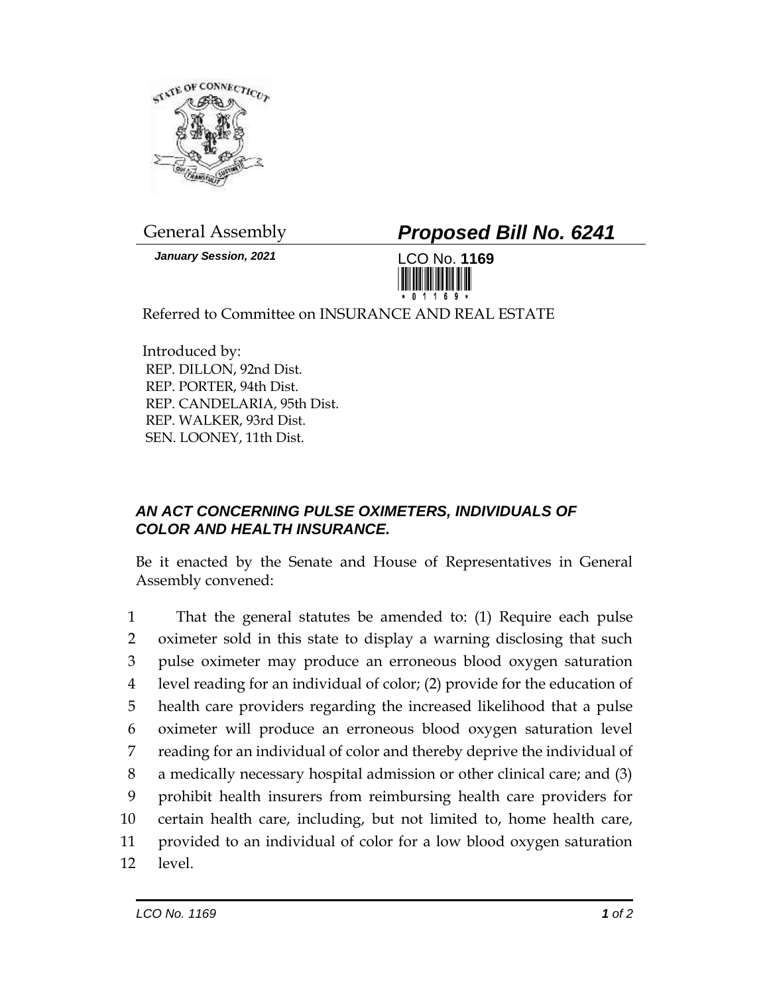

*January Session, 2021* LCO No. **1169**

General Assembly *Proposed Bill No. 6241*



Referred to Committee on INSURANCE AND REAL ESTATE

Introduced by: REP. DILLON, 92nd Dist. REP. PORTER, 94th Dist. REP. CANDELARIA, 95th Dist. REP. WALKER, 93rd Dist. SEN. LOONEY, 11th Dist.

## *AN ACT CONCERNING PULSE OXIMETERS, INDIVIDUALS OF COLOR AND HEALTH INSURANCE.*

Be it enacted by the Senate and House of Representatives in General Assembly convened:

 That the general statutes be amended to: (1) Require each pulse oximeter sold in this state to display a warning disclosing that such pulse oximeter may produce an erroneous blood oxygen saturation level reading for an individual of color; (2) provide for the education of health care providers regarding the increased likelihood that a pulse oximeter will produce an erroneous blood oxygen saturation level reading for an individual of color and thereby deprive the individual of a medically necessary hospital admission or other clinical care; and (3) prohibit health insurers from reimbursing health care providers for certain health care, including, but not limited to, home health care, provided to an individual of color for a low blood oxygen saturation 12 level.